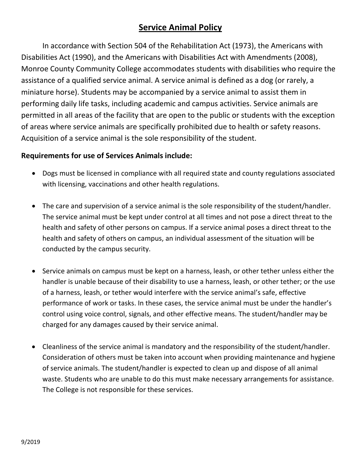# **Service Animal Policy**

In accordance with Section 504 of the Rehabilitation Act (1973), the Americans with Disabilities Act (1990), and the Americans with Disabilities Act with Amendments (2008), Monroe County Community College accommodates students with disabilities who require the assistance of a qualified service animal. A service animal is defined as a dog (or rarely, a miniature horse). Students may be accompanied by a service animal to assist them in performing daily life tasks, including academic and campus activities. Service animals are permitted in all areas of the facility that are open to the public or students with the exception of areas where service animals are specifically prohibited due to health or safety reasons. Acquisition of a service animal is the sole responsibility of the student.

### **Requirements for use of Services Animals include:**

- Dogs must be licensed in compliance with all required state and county regulations associated with licensing, vaccinations and other health regulations.
- The care and supervision of a service animal is the sole responsibility of the student/handler. The service animal must be kept under control at all times and not pose a direct threat to the health and safety of other persons on campus. If a service animal poses a direct threat to the health and safety of others on campus, an individual assessment of the situation will be conducted by the campus security.
- Service animals on campus must be kept on a harness, leash, or other tether unless either the handler is unable because of their disability to use a harness, leash, or other tether; or the use of a harness, leash, or tether would interfere with the service animal's safe, effective performance of work or tasks. In these cases, the service animal must be under the handler's control using voice control, signals, and other effective means. The student/handler may be charged for any damages caused by their service animal.
- Cleanliness of the service animal is mandatory and the responsibility of the student/handler. Consideration of others must be taken into account when providing maintenance and hygiene of service animals. The student/handler is expected to clean up and dispose of all animal waste. Students who are unable to do this must make necessary arrangements for assistance. The College is not responsible for these services.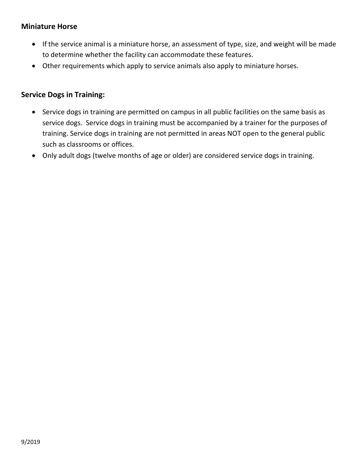### **Miniature Horse**

- If the service animal is a miniature horse, an assessment of type, size, and weight will be made to determine whether the facility can accommodate these features.
- Other requirements which apply to service animals also apply to miniature horses.

#### **Service Dogs in Training:**

- Service dogs in training are permitted on campus in all public facilities on the same basis as service dogs. Service dogs in training must be accompanied by a trainer for the purposes of training. Service dogs in training are not permitted in areas NOT open to the general public such as classrooms or offices.
- Only adult dogs (twelve months of age or older) are considered service dogs in training.